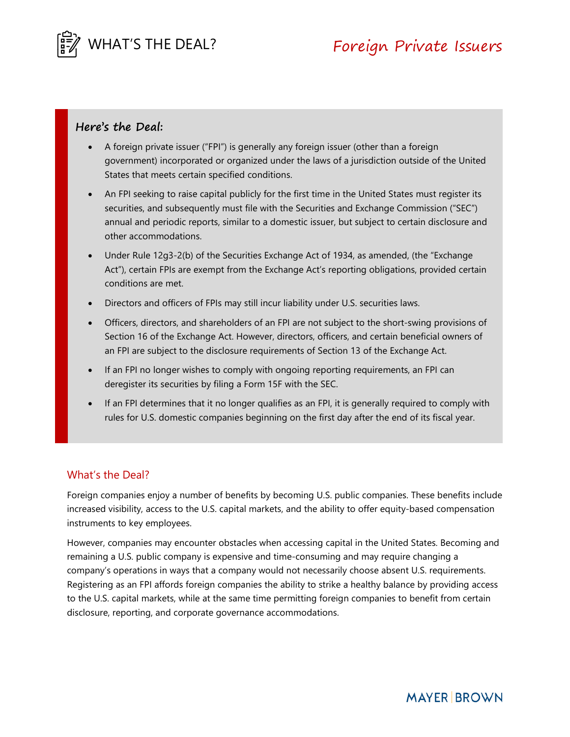

## **Here's the Deal:**

- A foreign private issuer ("FPI") is generally any foreign issuer (other than a foreign government) incorporated or organized under the laws of a jurisdiction outside of the United States that meets certain specified conditions.
- An FPI seeking to raise capital publicly for the first time in the United States must register its securities, and subsequently must file with the Securities and Exchange Commission ("SEC") annual and periodic reports, similar to a domestic issuer, but subject to certain disclosure and other accommodations.
- Under Rule 12g3-2(b) of the Securities Exchange Act of 1934, as amended, (the "Exchange Act"), certain FPIs are exempt from the Exchange Act's reporting obligations, provided certain conditions are met.
- Directors and officers of FPIs may still incur liability under U.S. securities laws.
- Officers, directors, and shareholders of an FPI are not subject to the short-swing provisions of Section 16 of the Exchange Act. However, directors, officers, and certain beneficial owners of an FPI are subject to the disclosure requirements of Section 13 of the Exchange Act.
- If an FPI no longer wishes to comply with ongoing reporting requirements, an FPI can deregister its securities by filing a Form 15F with the SEC.
- If an FPI determines that it no longer qualifies as an FPI, it is generally required to comply with rules for U.S. domestic companies beginning on the first day after the end of its fiscal year.

### What's the Deal?

Foreign companies enjoy a number of benefits by becoming U.S. public companies. These benefits include increased visibility, access to the U.S. capital markets, and the ability to offer equity-based compensation instruments to key employees.

However, companies may encounter obstacles when accessing capital in the United States. Becoming and remaining a U.S. public company is expensive and time-consuming and may require changing a company's operations in ways that a company would not necessarily choose absent U.S. requirements. Registering as an FPI affords foreign companies the ability to strike a healthy balance by providing access to the U.S. capital markets, while at the same time permitting foreign companies to benefit from certain disclosure, reporting, and corporate governance accommodations.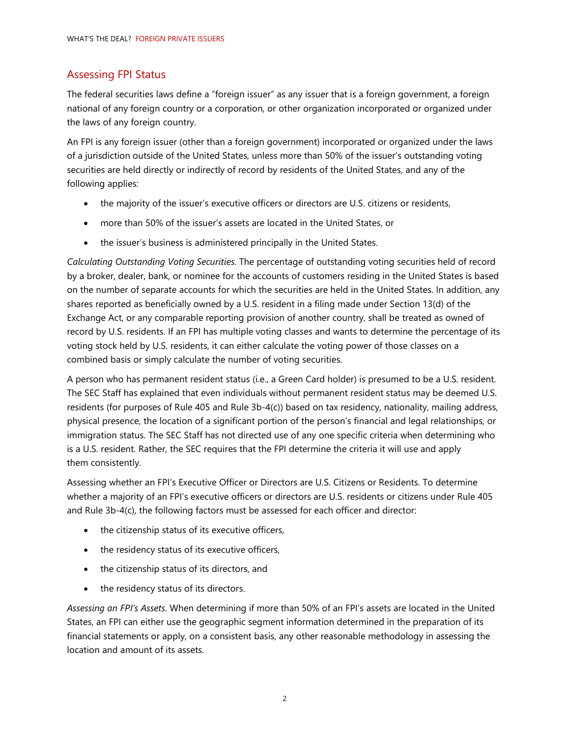## Assessing FPI Status

The federal securities laws define a "foreign issuer" as any issuer that is a foreign government, a foreign national of any foreign country or a corporation, or other organization incorporated or organized under the laws of any foreign country.

An FPI is any foreign issuer (other than a foreign government) incorporated or organized under the laws of a jurisdiction outside of the United States, unless more than 50% of the issuer's outstanding voting securities are held directly or indirectly of record by residents of the United States, and any of the following applies:

- the majority of the issuer's executive officers or directors are U.S. citizens or residents,
- more than 50% of the issuer's assets are located in the United States, or
- the issuer's business is administered principally in the United States.

*Calculating Outstanding Voting Securities*. The percentage of outstanding voting securities held of record by a broker, dealer, bank, or nominee for the accounts of customers residing in the United States is based on the number of separate accounts for which the securities are held in the United States. In addition, any shares reported as beneficially owned by a U.S. resident in a filing made under Section 13(d) of the Exchange Act, or any comparable reporting provision of another country, shall be treated as owned of record by U.S. residents. If an FPI has multiple voting classes and wants to determine the percentage of its voting stock held by U.S. residents, it can either calculate the voting power of those classes on a combined basis or simply calculate the number of voting securities.

A person who has permanent resident status (i.e., a Green Card holder) is presumed to be a U.S. resident. The SEC Staff has explained that even individuals without permanent resident status may be deemed U.S. residents (for purposes of Rule 405 and Rule 3b-4(c)) based on tax residency, nationality, mailing address, physical presence, the location of a significant portion of the person's financial and legal relationships, or immigration status. The SEC Staff has not directed use of any one specific criteria when determining who is a U.S. resident. Rather, the SEC requires that the FPI determine the criteria it will use and apply them consistently.

Assessing whether an FPI's Executive Officer or Directors are U.S. Citizens or Residents. To determine whether a majority of an FPI's executive officers or directors are U.S. residents or citizens under Rule 405 and Rule 3b-4(c), the following factors must be assessed for each officer and director:

- the citizenship status of its executive officers,
- the residency status of its executive officers,
- the citizenship status of its directors, and
- the residency status of its directors.

*Assessing an FPI's Assets*. When determining if more than 50% of an FPI's assets are located in the United States, an FPI can either use the geographic segment information determined in the preparation of its financial statements or apply, on a consistent basis, any other reasonable methodology in assessing the location and amount of its assets.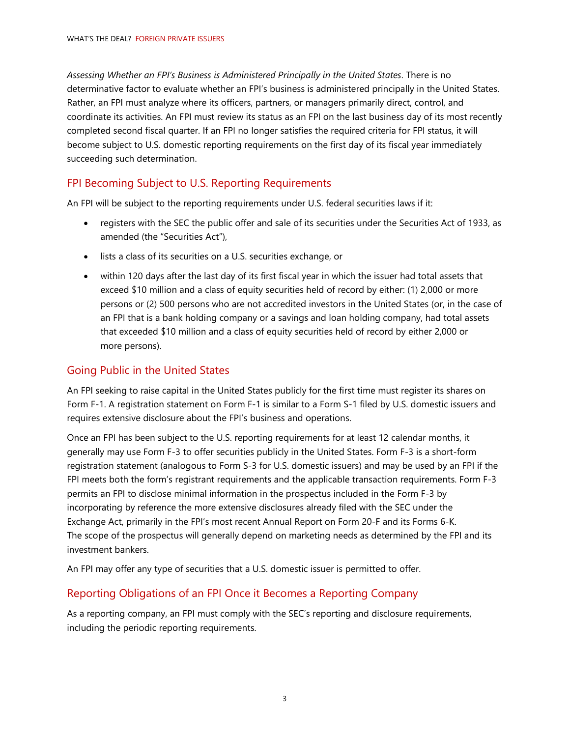*Assessing Whether an FPI's Business is Administered Principally in the United States*. There is no determinative factor to evaluate whether an FPI's business is administered principally in the United States. Rather, an FPI must analyze where its officers, partners, or managers primarily direct, control, and coordinate its activities. An FPI must review its status as an FPI on the last business day of its most recently completed second fiscal quarter. If an FPI no longer satisfies the required criteria for FPI status, it will become subject to U.S. domestic reporting requirements on the first day of its fiscal year immediately succeeding such determination.

## FPI Becoming Subject to U.S. Reporting Requirements

An FPI will be subject to the reporting requirements under U.S. federal securities laws if it:

- registers with the SEC the public offer and sale of its securities under the Securities Act of 1933, as amended (the "Securities Act"),
- lists a class of its securities on a U.S. securities exchange, or
- within 120 days after the last day of its first fiscal year in which the issuer had total assets that exceed \$10 million and a class of equity securities held of record by either: (1) 2,000 or more persons or (2) 500 persons who are not accredited investors in the United States (or, in the case of an FPI that is a bank holding company or a savings and loan holding company, had total assets that exceeded \$10 million and a class of equity securities held of record by either 2,000 or more persons).

## Going Public in the United States

An FPI seeking to raise capital in the United States publicly for the first time must register its shares on Form F-1. A registration statement on Form F-1 is similar to a Form S-1 filed by U.S. domestic issuers and requires extensive disclosure about the FPI's business and operations.

Once an FPI has been subject to the U.S. reporting requirements for at least 12 calendar months, it generally may use Form F-3 to offer securities publicly in the United States. Form F-3 is a short-form registration statement (analogous to Form S-3 for U.S. domestic issuers) and may be used by an FPI if the FPI meets both the form's registrant requirements and the applicable transaction requirements. Form F-3 permits an FPI to disclose minimal information in the prospectus included in the Form F-3 by incorporating by reference the more extensive disclosures already filed with the SEC under the Exchange Act, primarily in the FPI's most recent Annual Report on Form 20-F and its Forms 6-K. The scope of the prospectus will generally depend on marketing needs as determined by the FPI and its investment bankers.

An FPI may offer any type of securities that a U.S. domestic issuer is permitted to offer.

## Reporting Obligations of an FPI Once it Becomes a Reporting Company

As a reporting company, an FPI must comply with the SEC's reporting and disclosure requirements, including the periodic reporting requirements.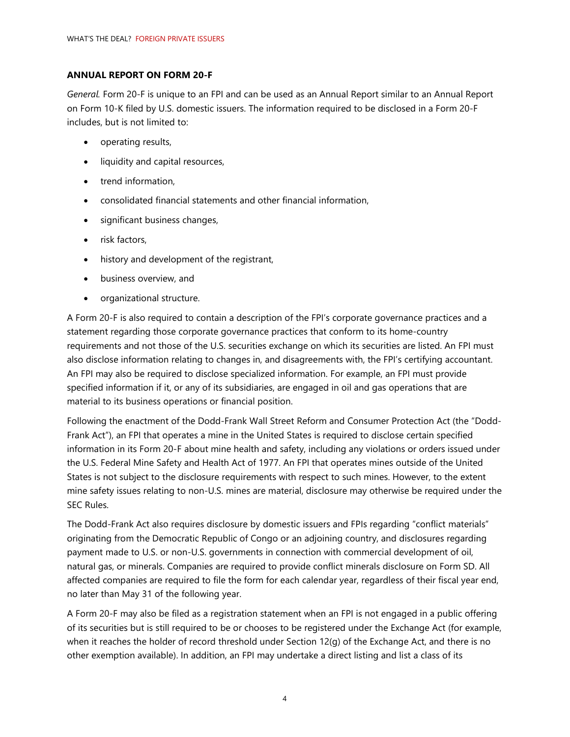### **ANNUAL REPORT ON FORM 20-F**

*General.* Form 20-F is unique to an FPI and can be used as an Annual Report similar to an Annual Report on Form 10-K filed by U.S. domestic issuers. The information required to be disclosed in a Form 20-F includes, but is not limited to:

- operating results,
- liquidity and capital resources,
- trend information.
- consolidated financial statements and other financial information,
- significant business changes,
- risk factors,
- history and development of the registrant,
- business overview, and
- organizational structure.

A Form 20-F is also required to contain a description of the FPI's corporate governance practices and a statement regarding those corporate governance practices that conform to its home-country requirements and not those of the U.S. securities exchange on which its securities are listed. An FPI must also disclose information relating to changes in, and disagreements with, the FPI's certifying accountant. An FPI may also be required to disclose specialized information. For example, an FPI must provide specified information if it, or any of its subsidiaries, are engaged in oil and gas operations that are material to its business operations or financial position.

Following the enactment of the Dodd-Frank Wall Street Reform and Consumer Protection Act (the "Dodd-Frank Act"), an FPI that operates a mine in the United States is required to disclose certain specified information in its Form 20-F about mine health and safety, including any violations or orders issued under the U.S. Federal Mine Safety and Health Act of 1977. An FPI that operates mines outside of the United States is not subject to the disclosure requirements with respect to such mines. However, to the extent mine safety issues relating to non-U.S. mines are material, disclosure may otherwise be required under the SEC Rules.

The Dodd-Frank Act also requires disclosure by domestic issuers and FPIs regarding "conflict materials" originating from the Democratic Republic of Congo or an adjoining country, and disclosures regarding payment made to U.S. or non-U.S. governments in connection with commercial development of oil, natural gas, or minerals. Companies are required to provide conflict minerals disclosure on Form SD. All affected companies are required to file the form for each calendar year, regardless of their fiscal year end, no later than May 31 of the following year.

A Form 20-F may also be filed as a registration statement when an FPI is not engaged in a public offering of its securities but is still required to be or chooses to be registered under the Exchange Act (for example, when it reaches the holder of record threshold under Section 12(g) of the Exchange Act, and there is no other exemption available). In addition, an FPI may undertake a direct listing and list a class of its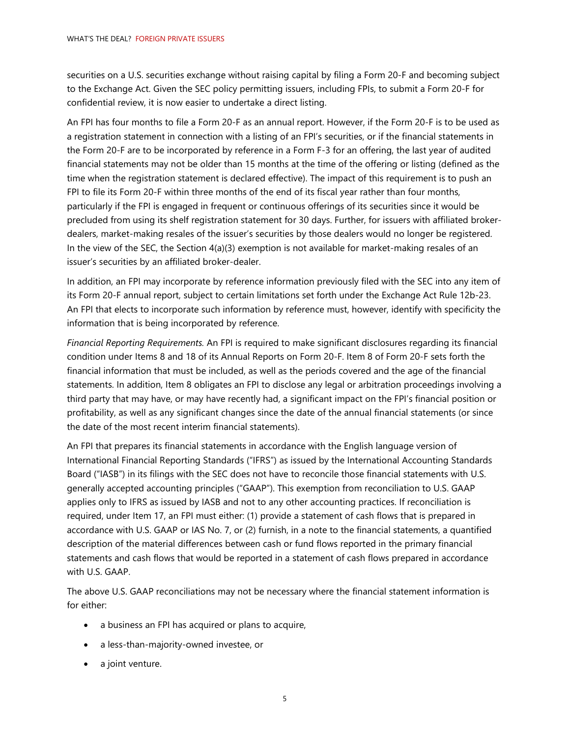securities on a U.S. securities exchange without raising capital by filing a Form 20-F and becoming subject to the Exchange Act. Given the SEC policy permitting issuers, including FPIs, to submit a Form 20-F for confidential review, it is now easier to undertake a direct listing.

An FPI has four months to file a Form 20-F as an annual report. However, if the Form 20-F is to be used as a registration statement in connection with a listing of an FPI's securities, or if the financial statements in the Form 20-F are to be incorporated by reference in a Form F-3 for an offering, the last year of audited financial statements may not be older than 15 months at the time of the offering or listing (defined as the time when the registration statement is declared effective). The impact of this requirement is to push an FPI to file its Form 20-F within three months of the end of its fiscal year rather than four months, particularly if the FPI is engaged in frequent or continuous offerings of its securities since it would be precluded from using its shelf registration statement for 30 days. Further, for issuers with affiliated brokerdealers, market-making resales of the issuer's securities by those dealers would no longer be registered. In the view of the SEC, the Section 4(a)(3) exemption is not available for market-making resales of an issuer's securities by an affiliated broker-dealer.

In addition, an FPI may incorporate by reference information previously filed with the SEC into any item of its Form 20-F annual report, subject to certain limitations set forth under the Exchange Act Rule 12b-23. An FPI that elects to incorporate such information by reference must, however, identify with specificity the information that is being incorporated by reference.

*Financial Reporting Requirements.* An FPI is required to make significant disclosures regarding its financial condition under Items 8 and 18 of its Annual Reports on Form 20-F. Item 8 of Form 20-F sets forth the financial information that must be included, as well as the periods covered and the age of the financial statements. In addition, Item 8 obligates an FPI to disclose any legal or arbitration proceedings involving a third party that may have, or may have recently had, a significant impact on the FPI's financial position or profitability, as well as any significant changes since the date of the annual financial statements (or since the date of the most recent interim financial statements).

An FPI that prepares its financial statements in accordance with the English language version of International Financial Reporting Standards ("IFRS") as issued by the International Accounting Standards Board ("IASB") in its filings with the SEC does not have to reconcile those financial statements with U.S. generally accepted accounting principles ("GAAP"). This exemption from reconciliation to U.S. GAAP applies only to IFRS as issued by IASB and not to any other accounting practices. If reconciliation is required, under Item 17, an FPI must either: (1) provide a statement of cash flows that is prepared in accordance with U.S. GAAP or IAS No. 7, or (2) furnish, in a note to the financial statements, a quantified description of the material differences between cash or fund flows reported in the primary financial statements and cash flows that would be reported in a statement of cash flows prepared in accordance with U.S. GAAP.

The above U.S. GAAP reconciliations may not be necessary where the financial statement information is for either:

- a business an FPI has acquired or plans to acquire,
- a less-than-majority-owned investee, or
- a joint venture.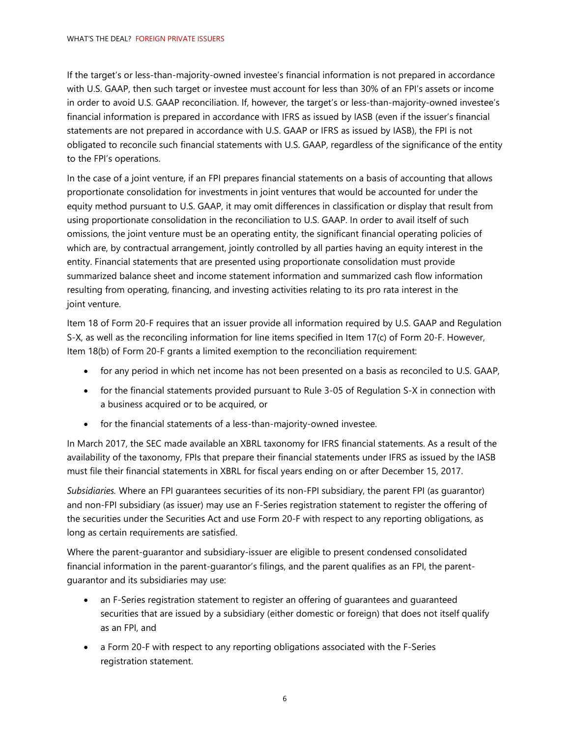If the target's or less-than-majority-owned investee's financial information is not prepared in accordance with U.S. GAAP, then such target or investee must account for less than 30% of an FPI's assets or income in order to avoid U.S. GAAP reconciliation. If, however, the target's or less-than-majority-owned investee's financial information is prepared in accordance with IFRS as issued by IASB (even if the issuer's financial statements are not prepared in accordance with U.S. GAAP or IFRS as issued by IASB), the FPI is not obligated to reconcile such financial statements with U.S. GAAP, regardless of the significance of the entity to the FPI's operations.

In the case of a joint venture, if an FPI prepares financial statements on a basis of accounting that allows proportionate consolidation for investments in joint ventures that would be accounted for under the equity method pursuant to U.S. GAAP, it may omit differences in classification or display that result from using proportionate consolidation in the reconciliation to U.S. GAAP. In order to avail itself of such omissions, the joint venture must be an operating entity, the significant financial operating policies of which are, by contractual arrangement, jointly controlled by all parties having an equity interest in the entity. Financial statements that are presented using proportionate consolidation must provide summarized balance sheet and income statement information and summarized cash flow information resulting from operating, financing, and investing activities relating to its pro rata interest in the joint venture.

Item 18 of Form 20-F requires that an issuer provide all information required by U.S. GAAP and Regulation S-X, as well as the reconciling information for line items specified in Item 17(c) of Form 20-F. However, Item 18(b) of Form 20-F grants a limited exemption to the reconciliation requirement:

- for any period in which net income has not been presented on a basis as reconciled to U.S. GAAP,
- for the financial statements provided pursuant to Rule 3-05 of Regulation S-X in connection with a business acquired or to be acquired, or
- for the financial statements of a less-than-majority-owned investee.

In March 2017, the SEC made available an XBRL taxonomy for IFRS financial statements. As a result of the availability of the taxonomy, FPIs that prepare their financial statements under IFRS as issued by the IASB must file their financial statements in XBRL for fiscal years ending on or after December 15, 2017.

*Subsidiaries.* Where an FPI guarantees securities of its non-FPI subsidiary, the parent FPI (as guarantor) and non-FPI subsidiary (as issuer) may use an F-Series registration statement to register the offering of the securities under the Securities Act and use Form 20-F with respect to any reporting obligations, as long as certain requirements are satisfied.

Where the parent-guarantor and subsidiary-issuer are eligible to present condensed consolidated financial information in the parent-guarantor's filings, and the parent qualifies as an FPI, the parentguarantor and its subsidiaries may use:

- an F-Series registration statement to register an offering of guarantees and guaranteed securities that are issued by a subsidiary (either domestic or foreign) that does not itself qualify as an FPI, and
- a Form 20-F with respect to any reporting obligations associated with the F-Series registration statement.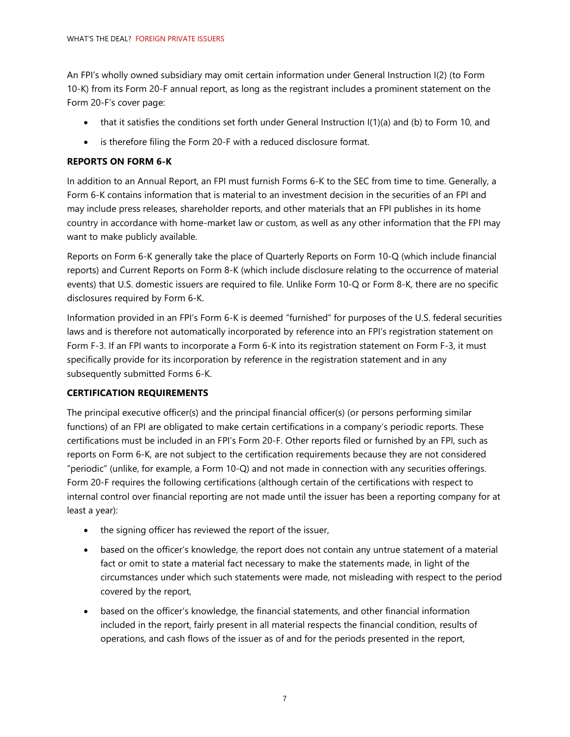An FPI's wholly owned subsidiary may omit certain information under General Instruction I(2) (to Form 10-K) from its Form 20-F annual report, as long as the registrant includes a prominent statement on the Form 20-F's cover page:

- that it satisfies the conditions set forth under General Instruction I(1)(a) and (b) to Form 10, and
- is therefore filing the Form 20-F with a reduced disclosure format.

### **REPORTS ON FORM 6-K**

In addition to an Annual Report, an FPI must furnish Forms 6-K to the SEC from time to time. Generally, a Form 6-K contains information that is material to an investment decision in the securities of an FPI and may include press releases, shareholder reports, and other materials that an FPI publishes in its home country in accordance with home-market law or custom, as well as any other information that the FPI may want to make publicly available.

Reports on Form 6-K generally take the place of Quarterly Reports on Form 10-Q (which include financial reports) and Current Reports on Form 8-K (which include disclosure relating to the occurrence of material events) that U.S. domestic issuers are required to file. Unlike Form 10-Q or Form 8-K, there are no specific disclosures required by Form 6-K.

Information provided in an FPI's Form 6-K is deemed "furnished" for purposes of the U.S. federal securities laws and is therefore not automatically incorporated by reference into an FPI's registration statement on Form F-3. If an FPI wants to incorporate a Form 6-K into its registration statement on Form F-3, it must specifically provide for its incorporation by reference in the registration statement and in any subsequently submitted Forms 6-K.

### **CERTIFICATION REQUIREMENTS**

The principal executive officer(s) and the principal financial officer(s) (or persons performing similar functions) of an FPI are obligated to make certain certifications in a company's periodic reports. These certifications must be included in an FPI's Form 20-F. Other reports filed or furnished by an FPI, such as reports on Form 6-K, are not subject to the certification requirements because they are not considered "periodic" (unlike, for example, a Form 10-Q) and not made in connection with any securities offerings. Form 20-F requires the following certifications (although certain of the certifications with respect to internal control over financial reporting are not made until the issuer has been a reporting company for at least a year):

- the signing officer has reviewed the report of the issuer,
- based on the officer's knowledge, the report does not contain any untrue statement of a material fact or omit to state a material fact necessary to make the statements made, in light of the circumstances under which such statements were made, not misleading with respect to the period covered by the report,
- based on the officer's knowledge, the financial statements, and other financial information included in the report, fairly present in all material respects the financial condition, results of operations, and cash flows of the issuer as of and for the periods presented in the report,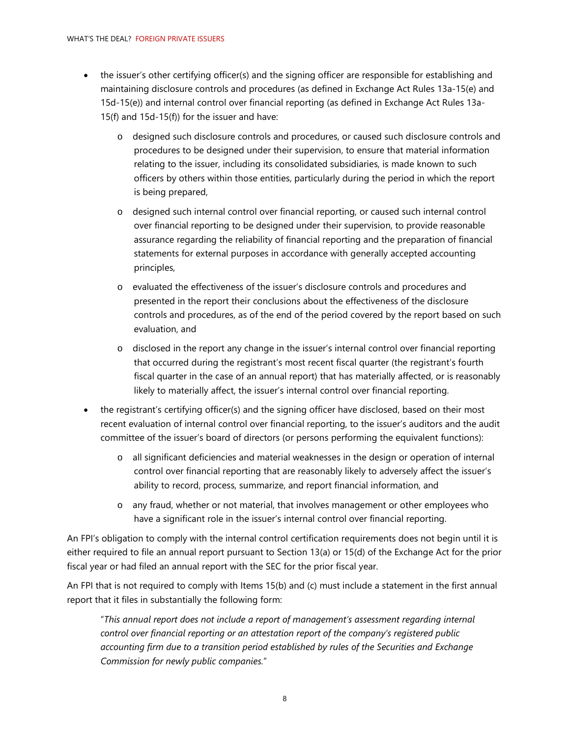- the issuer's other certifying officer(s) and the signing officer are responsible for establishing and maintaining disclosure controls and procedures (as defined in Exchange Act Rules 13a-15(e) and 15d-15(e)) and internal control over financial reporting (as defined in Exchange Act Rules 13a-15(f) and 15d-15(f)) for the issuer and have:
	- o designed such disclosure controls and procedures, or caused such disclosure controls and procedures to be designed under their supervision, to ensure that material information relating to the issuer, including its consolidated subsidiaries, is made known to such officers by others within those entities, particularly during the period in which the report is being prepared,
	- o designed such internal control over financial reporting, or caused such internal control over financial reporting to be designed under their supervision, to provide reasonable assurance regarding the reliability of financial reporting and the preparation of financial statements for external purposes in accordance with generally accepted accounting principles,
	- o evaluated the effectiveness of the issuer's disclosure controls and procedures and presented in the report their conclusions about the effectiveness of the disclosure controls and procedures, as of the end of the period covered by the report based on such evaluation, and
	- o disclosed in the report any change in the issuer's internal control over financial reporting that occurred during the registrant's most recent fiscal quarter (the registrant's fourth fiscal quarter in the case of an annual report) that has materially affected, or is reasonably likely to materially affect, the issuer's internal control over financial reporting.
- the registrant's certifying officer(s) and the signing officer have disclosed, based on their most recent evaluation of internal control over financial reporting, to the issuer's auditors and the audit committee of the issuer's board of directors (or persons performing the equivalent functions):
	- o all significant deficiencies and material weaknesses in the design or operation of internal control over financial reporting that are reasonably likely to adversely affect the issuer's ability to record, process, summarize, and report financial information, and
	- o any fraud, whether or not material, that involves management or other employees who have a significant role in the issuer's internal control over financial reporting.

An FPI's obligation to comply with the internal control certification requirements does not begin until it is either required to file an annual report pursuant to Section 13(a) or 15(d) of the Exchange Act for the prior fiscal year or had filed an annual report with the SEC for the prior fiscal year.

An FPI that is not required to comply with Items 15(b) and (c) must include a statement in the first annual report that it files in substantially the following form:

"*This annual report does not include a report of management's assessment regarding internal control over financial reporting or an attestation report of the company's registered public accounting firm due to a transition period established by rules of the Securities and Exchange Commission for newly public companies.*"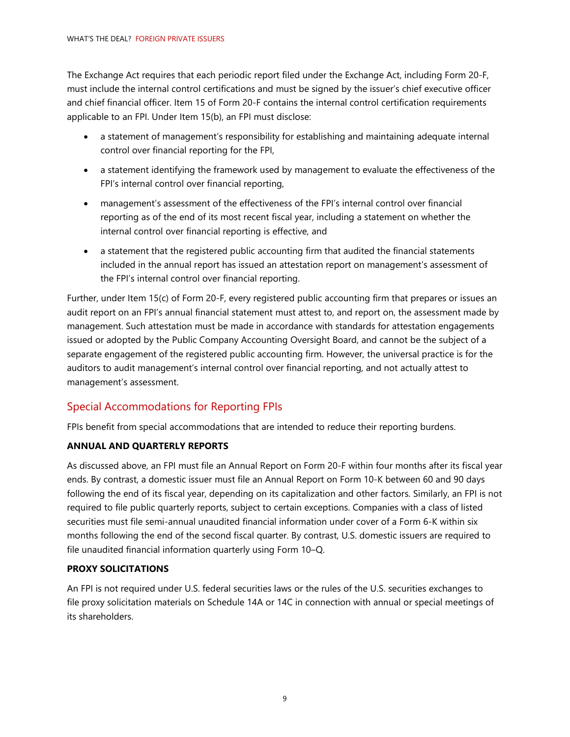The Exchange Act requires that each periodic report filed under the Exchange Act, including Form 20-F, must include the internal control certifications and must be signed by the issuer's chief executive officer and chief financial officer. Item 15 of Form 20-F contains the internal control certification requirements applicable to an FPI. Under Item 15(b), an FPI must disclose:

- a statement of management's responsibility for establishing and maintaining adequate internal control over financial reporting for the FPI,
- a statement identifying the framework used by management to evaluate the effectiveness of the FPI's internal control over financial reporting,
- management's assessment of the effectiveness of the FPI's internal control over financial reporting as of the end of its most recent fiscal year, including a statement on whether the internal control over financial reporting is effective, and
- a statement that the registered public accounting firm that audited the financial statements included in the annual report has issued an attestation report on management's assessment of the FPI's internal control over financial reporting.

Further, under Item 15(c) of Form 20-F, every registered public accounting firm that prepares or issues an audit report on an FPI's annual financial statement must attest to, and report on, the assessment made by management. Such attestation must be made in accordance with standards for attestation engagements issued or adopted by the Public Company Accounting Oversight Board, and cannot be the subject of a separate engagement of the registered public accounting firm. However, the universal practice is for the auditors to audit management's internal control over financial reporting, and not actually attest to management's assessment.

## Special Accommodations for Reporting FPIs

FPIs benefit from special accommodations that are intended to reduce their reporting burdens.

### **ANNUAL AND QUARTERLY REPORTS**

As discussed above, an FPI must file an Annual Report on Form 20-F within four months after its fiscal year ends. By contrast, a domestic issuer must file an Annual Report on Form 10-K between 60 and 90 days following the end of its fiscal year, depending on its capitalization and other factors. Similarly, an FPI is not required to file public quarterly reports, subject to certain exceptions. Companies with a class of listed securities must file semi-annual unaudited financial information under cover of a Form 6-K within six months following the end of the second fiscal quarter. By contrast, U.S. domestic issuers are required to file unaudited financial information quarterly using Form 10–Q.

### **PROXY SOLICITATIONS**

An FPI is not required under U.S. federal securities laws or the rules of the U.S. securities exchanges to file proxy solicitation materials on Schedule 14A or 14C in connection with annual or special meetings of its shareholders.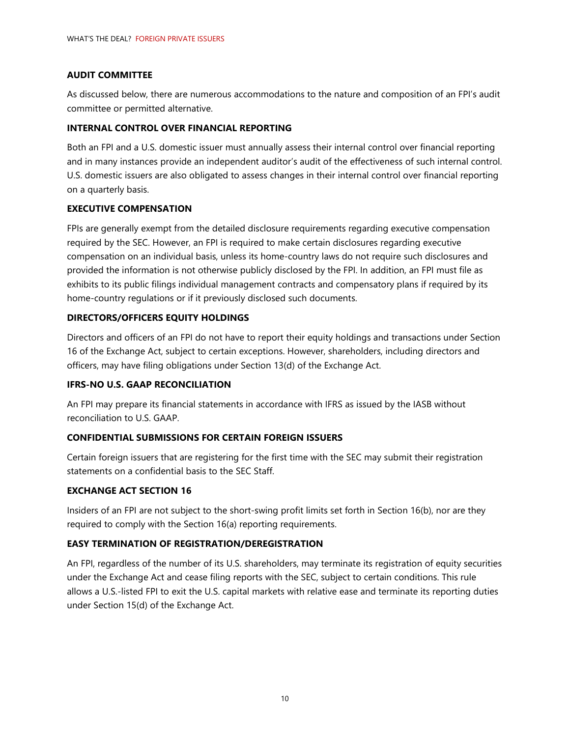### **AUDIT COMMITTEE**

As discussed below, there are numerous accommodations to the nature and composition of an FPI's audit committee or permitted alternative.

#### **INTERNAL CONTROL OVER FINANCIAL REPORTING**

Both an FPI and a U.S. domestic issuer must annually assess their internal control over financial reporting and in many instances provide an independent auditor's audit of the effectiveness of such internal control. U.S. domestic issuers are also obligated to assess changes in their internal control over financial reporting on a quarterly basis.

### **EXECUTIVE COMPENSATION**

FPIs are generally exempt from the detailed disclosure requirements regarding executive compensation required by the SEC. However, an FPI is required to make certain disclosures regarding executive compensation on an individual basis, unless its home-country laws do not require such disclosures and provided the information is not otherwise publicly disclosed by the FPI. In addition, an FPI must file as exhibits to its public filings individual management contracts and compensatory plans if required by its home-country regulations or if it previously disclosed such documents.

#### **DIRECTORS/OFFICERS EQUITY HOLDINGS**

Directors and officers of an FPI do not have to report their equity holdings and transactions under Section 16 of the Exchange Act, subject to certain exceptions. However, shareholders, including directors and officers, may have filing obligations under Section 13(d) of the Exchange Act.

### **IFRS-NO U.S. GAAP RECONCILIATION**

An FPI may prepare its financial statements in accordance with IFRS as issued by the IASB without reconciliation to U.S. GAAP.

### **CONFIDENTIAL SUBMISSIONS FOR CERTAIN FOREIGN ISSUERS**

Certain foreign issuers that are registering for the first time with the SEC may submit their registration statements on a confidential basis to the SEC Staff.

### **EXCHANGE ACT SECTION 16**

Insiders of an FPI are not subject to the short-swing profit limits set forth in Section 16(b), nor are they required to comply with the Section 16(a) reporting requirements.

#### **EASY TERMINATION OF REGISTRATION/DEREGISTRATION**

An FPI, regardless of the number of its U.S. shareholders, may terminate its registration of equity securities under the Exchange Act and cease filing reports with the SEC, subject to certain conditions. This rule allows a U.S.-listed FPI to exit the U.S. capital markets with relative ease and terminate its reporting duties under Section 15(d) of the Exchange Act.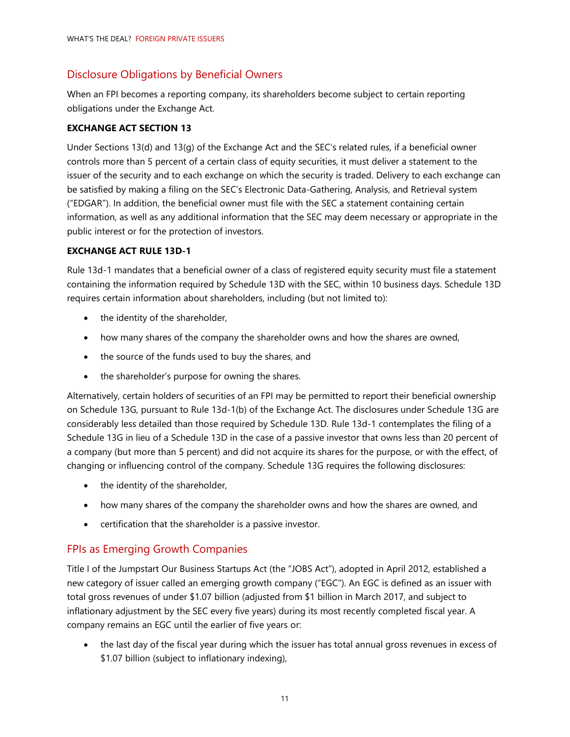## Disclosure Obligations by Beneficial Owners

When an FPI becomes a reporting company, its shareholders become subject to certain reporting obligations under the Exchange Act.

### **EXCHANGE ACT SECTION 13**

Under Sections 13(d) and 13(g) of the Exchange Act and the SEC's related rules, if a beneficial owner controls more than 5 percent of a certain class of equity securities, it must deliver a statement to the issuer of the security and to each exchange on which the security is traded. Delivery to each exchange can be satisfied by making a filing on the SEC's Electronic Data-Gathering, Analysis, and Retrieval system ("EDGAR"). In addition, the beneficial owner must file with the SEC a statement containing certain information, as well as any additional information that the SEC may deem necessary or appropriate in the public interest or for the protection of investors.

### **EXCHANGE ACT RULE 13D-1**

Rule 13d-1 mandates that a beneficial owner of a class of registered equity security must file a statement containing the information required by Schedule 13D with the SEC, within 10 business days. Schedule 13D requires certain information about shareholders, including (but not limited to):

- the identity of the shareholder,
- how many shares of the company the shareholder owns and how the shares are owned,
- the source of the funds used to buy the shares, and
- the shareholder's purpose for owning the shares.

Alternatively, certain holders of securities of an FPI may be permitted to report their beneficial ownership on Schedule 13G, pursuant to Rule 13d-1(b) of the Exchange Act. The disclosures under Schedule 13G are considerably less detailed than those required by Schedule 13D. Rule 13d-1 contemplates the filing of a Schedule 13G in lieu of a Schedule 13D in the case of a passive investor that owns less than 20 percent of a company (but more than 5 percent) and did not acquire its shares for the purpose, or with the effect, of changing or influencing control of the company. Schedule 13G requires the following disclosures:

- the identity of the shareholder,
- how many shares of the company the shareholder owns and how the shares are owned, and
- certification that the shareholder is a passive investor.

## FPIs as Emerging Growth Companies

Title I of the Jumpstart Our Business Startups Act (the "JOBS Act"), adopted in April 2012, established a new category of issuer called an emerging growth company ("EGC"). An EGC is defined as an issuer with total gross revenues of under \$1.07 billion (adjusted from \$1 billion in March 2017, and subject to inflationary adjustment by the SEC every five years) during its most recently completed fiscal year. A company remains an EGC until the earlier of five years or:

 the last day of the fiscal year during which the issuer has total annual gross revenues in excess of \$1.07 billion (subject to inflationary indexing),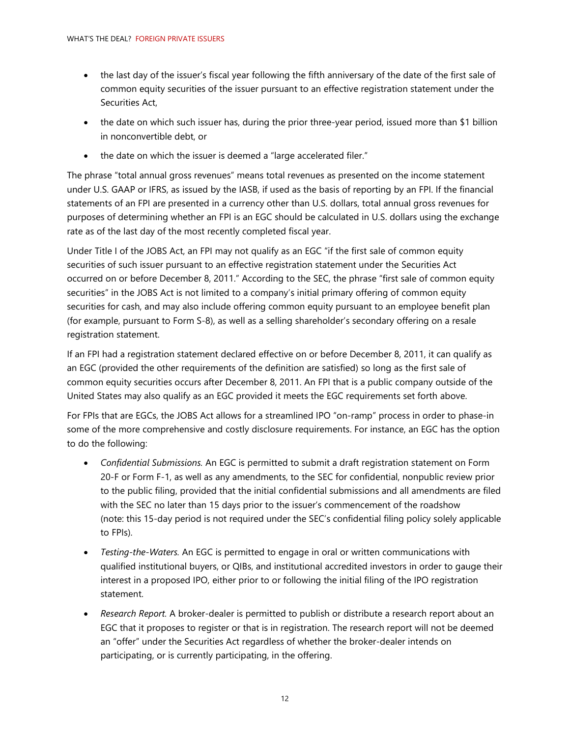- the last day of the issuer's fiscal year following the fifth anniversary of the date of the first sale of common equity securities of the issuer pursuant to an effective registration statement under the Securities Act,
- the date on which such issuer has, during the prior three-year period, issued more than \$1 billion in nonconvertible debt, or
- the date on which the issuer is deemed a "large accelerated filer."

The phrase "total annual gross revenues" means total revenues as presented on the income statement under U.S. GAAP or IFRS, as issued by the IASB, if used as the basis of reporting by an FPI. If the financial statements of an FPI are presented in a currency other than U.S. dollars, total annual gross revenues for purposes of determining whether an FPI is an EGC should be calculated in U.S. dollars using the exchange rate as of the last day of the most recently completed fiscal year.

Under Title I of the JOBS Act, an FPI may not qualify as an EGC "if the first sale of common equity securities of such issuer pursuant to an effective registration statement under the Securities Act occurred on or before December 8, 2011." According to the SEC, the phrase "first sale of common equity securities" in the JOBS Act is not limited to a company's initial primary offering of common equity securities for cash, and may also include offering common equity pursuant to an employee benefit plan (for example, pursuant to Form S-8), as well as a selling shareholder's secondary offering on a resale registration statement.

If an FPI had a registration statement declared effective on or before December 8, 2011, it can qualify as an EGC (provided the other requirements of the definition are satisfied) so long as the first sale of common equity securities occurs after December 8, 2011. An FPI that is a public company outside of the United States may also qualify as an EGC provided it meets the EGC requirements set forth above.

For FPIs that are EGCs, the JOBS Act allows for a streamlined IPO "on-ramp" process in order to phase-in some of the more comprehensive and costly disclosure requirements. For instance, an EGC has the option to do the following:

- *Confidential Submissions.* An EGC is permitted to submit a draft registration statement on Form 20-F or Form F-1, as well as any amendments, to the SEC for confidential, nonpublic review prior to the public filing, provided that the initial confidential submissions and all amendments are filed with the SEC no later than 15 days prior to the issuer's commencement of the roadshow (note: this 15-day period is not required under the SEC's confidential filing policy solely applicable to FPIs).
- *Testing-the-Waters.* An EGC is permitted to engage in oral or written communications with qualified institutional buyers, or QIBs, and institutional accredited investors in order to gauge their interest in a proposed IPO, either prior to or following the initial filing of the IPO registration statement.
- *Research Report.* A broker-dealer is permitted to publish or distribute a research report about an EGC that it proposes to register or that is in registration. The research report will not be deemed an "offer" under the Securities Act regardless of whether the broker-dealer intends on participating, or is currently participating, in the offering.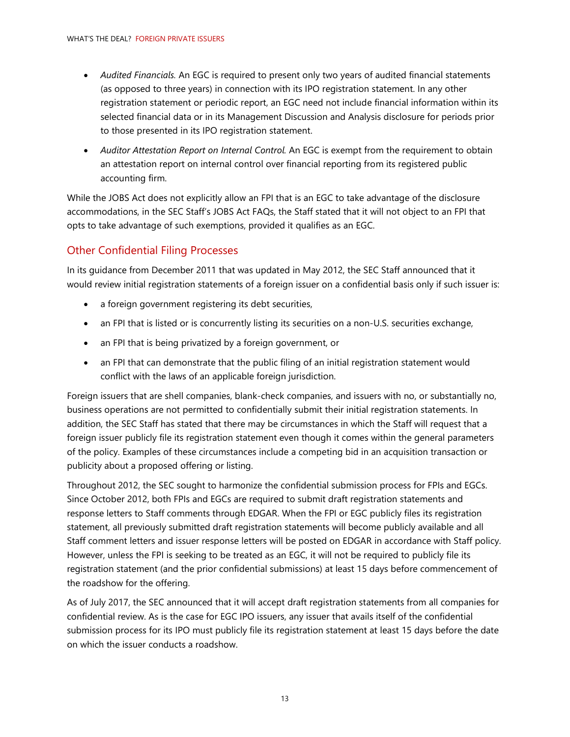- *Audited Financials.* An EGC is required to present only two years of audited financial statements (as opposed to three years) in connection with its IPO registration statement. In any other registration statement or periodic report, an EGC need not include financial information within its selected financial data or in its Management Discussion and Analysis disclosure for periods prior to those presented in its IPO registration statement.
- *Auditor Attestation Report on Internal Control.* An EGC is exempt from the requirement to obtain an attestation report on internal control over financial reporting from its registered public accounting firm.

While the JOBS Act does not explicitly allow an FPI that is an EGC to take advantage of the disclosure accommodations, in the SEC Staff's JOBS Act FAQs, the Staff stated that it will not object to an FPI that opts to take advantage of such exemptions, provided it qualifies as an EGC.

# Other Confidential Filing Processes

In its guidance from December 2011 that was updated in May 2012, the SEC Staff announced that it would review initial registration statements of a foreign issuer on a confidential basis only if such issuer is:

- a foreign government registering its debt securities,
- an FPI that is listed or is concurrently listing its securities on a non-U.S. securities exchange,
- an FPI that is being privatized by a foreign government, or
- an FPI that can demonstrate that the public filing of an initial registration statement would conflict with the laws of an applicable foreign jurisdiction.

Foreign issuers that are shell companies, blank-check companies, and issuers with no, or substantially no, business operations are not permitted to confidentially submit their initial registration statements. In addition, the SEC Staff has stated that there may be circumstances in which the Staff will request that a foreign issuer publicly file its registration statement even though it comes within the general parameters of the policy. Examples of these circumstances include a competing bid in an acquisition transaction or publicity about a proposed offering or listing.

Throughout 2012, the SEC sought to harmonize the confidential submission process for FPIs and EGCs. Since October 2012, both FPIs and EGCs are required to submit draft registration statements and response letters to Staff comments through EDGAR. When the FPI or EGC publicly files its registration statement, all previously submitted draft registration statements will become publicly available and all Staff comment letters and issuer response letters will be posted on EDGAR in accordance with Staff policy. However, unless the FPI is seeking to be treated as an EGC, it will not be required to publicly file its registration statement (and the prior confidential submissions) at least 15 days before commencement of the roadshow for the offering.

As of July 2017, the SEC announced that it will accept draft registration statements from all companies for confidential review. As is the case for EGC IPO issuers, any issuer that avails itself of the confidential submission process for its IPO must publicly file its registration statement at least 15 days before the date on which the issuer conducts a roadshow.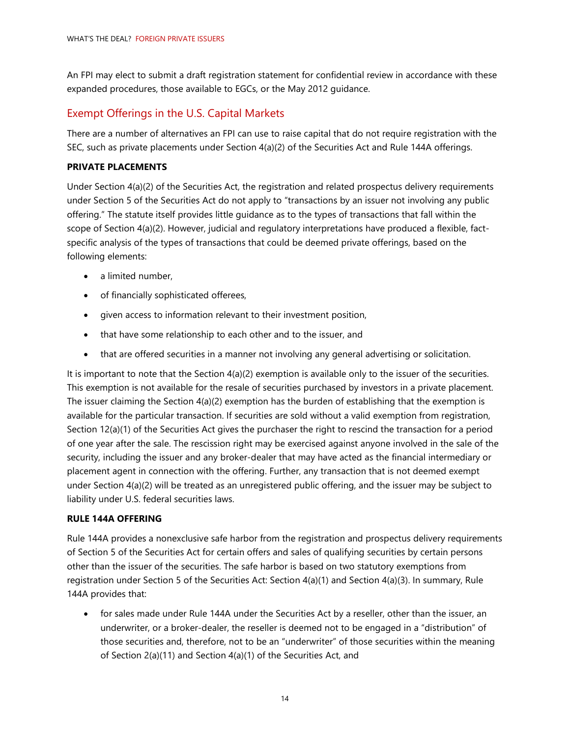An FPI may elect to submit a draft registration statement for confidential review in accordance with these expanded procedures, those available to EGCs, or the May 2012 guidance.

## Exempt Offerings in the U.S. Capital Markets

There are a number of alternatives an FPI can use to raise capital that do not require registration with the SEC, such as private placements under Section 4(a)(2) of the Securities Act and Rule 144A offerings.

### **PRIVATE PLACEMENTS**

Under Section 4(a)(2) of the Securities Act, the registration and related prospectus delivery requirements under Section 5 of the Securities Act do not apply to "transactions by an issuer not involving any public offering." The statute itself provides little guidance as to the types of transactions that fall within the scope of Section 4(a)(2). However, judicial and regulatory interpretations have produced a flexible, factspecific analysis of the types of transactions that could be deemed private offerings, based on the following elements:

- a limited number,
- of financially sophisticated offerees,
- given access to information relevant to their investment position,
- that have some relationship to each other and to the issuer, and
- that are offered securities in a manner not involving any general advertising or solicitation.

It is important to note that the Section 4(a)(2) exemption is available only to the issuer of the securities. This exemption is not available for the resale of securities purchased by investors in a private placement. The issuer claiming the Section 4(a)(2) exemption has the burden of establishing that the exemption is available for the particular transaction. If securities are sold without a valid exemption from registration, Section 12(a)(1) of the Securities Act gives the purchaser the right to rescind the transaction for a period of one year after the sale. The rescission right may be exercised against anyone involved in the sale of the security, including the issuer and any broker-dealer that may have acted as the financial intermediary or placement agent in connection with the offering. Further, any transaction that is not deemed exempt under Section 4(a)(2) will be treated as an unregistered public offering, and the issuer may be subject to liability under U.S. federal securities laws.

### **RULE 144A OFFERING**

Rule 144A provides a nonexclusive safe harbor from the registration and prospectus delivery requirements of Section 5 of the Securities Act for certain offers and sales of qualifying securities by certain persons other than the issuer of the securities. The safe harbor is based on two statutory exemptions from registration under Section 5 of the Securities Act: Section 4(a)(1) and Section 4(a)(3). In summary, Rule 144A provides that:

 for sales made under Rule 144A under the Securities Act by a reseller, other than the issuer, an underwriter, or a broker-dealer, the reseller is deemed not to be engaged in a "distribution" of those securities and, therefore, not to be an "underwriter" of those securities within the meaning of Section 2(a)(11) and Section 4(a)(1) of the Securities Act, and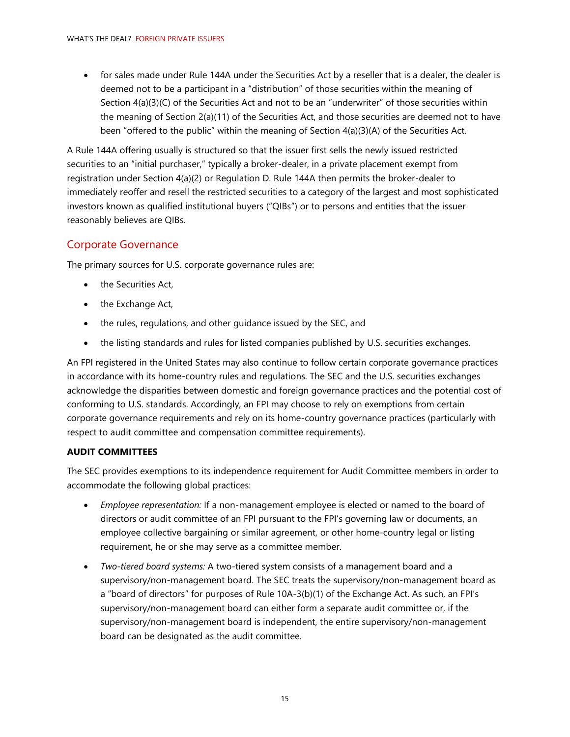• for sales made under Rule 144A under the Securities Act by a reseller that is a dealer, the dealer is deemed not to be a participant in a "distribution" of those securities within the meaning of Section 4(a)(3)(C) of the Securities Act and not to be an "underwriter" of those securities within the meaning of Section 2(a)(11) of the Securities Act, and those securities are deemed not to have been "offered to the public" within the meaning of Section 4(a)(3)(A) of the Securities Act.

A Rule 144A offering usually is structured so that the issuer first sells the newly issued restricted securities to an "initial purchaser," typically a broker-dealer, in a private placement exempt from registration under Section 4(a)(2) or Regulation D. Rule 144A then permits the broker-dealer to immediately reoffer and resell the restricted securities to a category of the largest and most sophisticated investors known as qualified institutional buyers ("QIBs") or to persons and entities that the issuer reasonably believes are QIBs.

## Corporate Governance

The primary sources for U.S. corporate governance rules are:

- the Securities Act,
- the Exchange Act,
- the rules, regulations, and other guidance issued by the SEC, and
- the listing standards and rules for listed companies published by U.S. securities exchanges.

An FPI registered in the United States may also continue to follow certain corporate governance practices in accordance with its home-country rules and regulations. The SEC and the U.S. securities exchanges acknowledge the disparities between domestic and foreign governance practices and the potential cost of conforming to U.S. standards. Accordingly, an FPI may choose to rely on exemptions from certain corporate governance requirements and rely on its home-country governance practices (particularly with respect to audit committee and compensation committee requirements).

### **AUDIT COMMITTEES**

The SEC provides exemptions to its independence requirement for Audit Committee members in order to accommodate the following global practices:

- *Employee representation:* If a non-management employee is elected or named to the board of directors or audit committee of an FPI pursuant to the FPI's governing law or documents, an employee collective bargaining or similar agreement, or other home-country legal or listing requirement, he or she may serve as a committee member.
- *Two-tiered board systems:* A two-tiered system consists of a management board and a supervisory/non-management board. The SEC treats the supervisory/non-management board as a "board of directors" for purposes of Rule 10A-3(b)(1) of the Exchange Act. As such, an FPI's supervisory/non-management board can either form a separate audit committee or, if the supervisory/non-management board is independent, the entire supervisory/non-management board can be designated as the audit committee.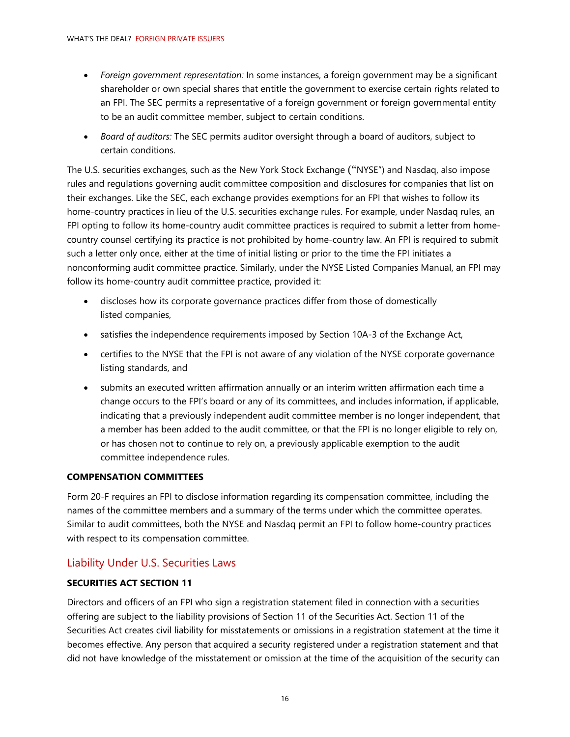- *Foreign government representation:* In some instances, a foreign government may be a significant shareholder or own special shares that entitle the government to exercise certain rights related to an FPI. The SEC permits a representative of a foreign government or foreign governmental entity to be an audit committee member, subject to certain conditions.
- *Board of auditors:* The SEC permits auditor oversight through a board of auditors, subject to certain conditions.

The U.S. securities exchanges, such as the New York Stock Exchange ("NYSE") and Nasdaq, also impose rules and regulations governing audit committee composition and disclosures for companies that list on their exchanges. Like the SEC, each exchange provides exemptions for an FPI that wishes to follow its home-country practices in lieu of the U.S. securities exchange rules. For example, under Nasdaq rules, an FPI opting to follow its home-country audit committee practices is required to submit a letter from homecountry counsel certifying its practice is not prohibited by home-country law. An FPI is required to submit such a letter only once, either at the time of initial listing or prior to the time the FPI initiates a nonconforming audit committee practice. Similarly, under the NYSE Listed Companies Manual, an FPI may follow its home-country audit committee practice, provided it:

- discloses how its corporate governance practices differ from those of domestically listed companies,
- satisfies the independence requirements imposed by Section 10A-3 of the Exchange Act,
- certifies to the NYSE that the FPI is not aware of any violation of the NYSE corporate governance listing standards, and
- submits an executed written affirmation annually or an interim written affirmation each time a change occurs to the FPI's board or any of its committees, and includes information, if applicable, indicating that a previously independent audit committee member is no longer independent, that a member has been added to the audit committee, or that the FPI is no longer eligible to rely on, or has chosen not to continue to rely on, a previously applicable exemption to the audit committee independence rules.

### **COMPENSATION COMMITTEES**

Form 20-F requires an FPI to disclose information regarding its compensation committee, including the names of the committee members and a summary of the terms under which the committee operates. Similar to audit committees, both the NYSE and Nasdaq permit an FPI to follow home-country practices with respect to its compensation committee.

## Liability Under U.S. Securities Laws

### **SECURITIES ACT SECTION 11**

Directors and officers of an FPI who sign a registration statement filed in connection with a securities offering are subject to the liability provisions of Section 11 of the Securities Act. Section 11 of the Securities Act creates civil liability for misstatements or omissions in a registration statement at the time it becomes effective. Any person that acquired a security registered under a registration statement and that did not have knowledge of the misstatement or omission at the time of the acquisition of the security can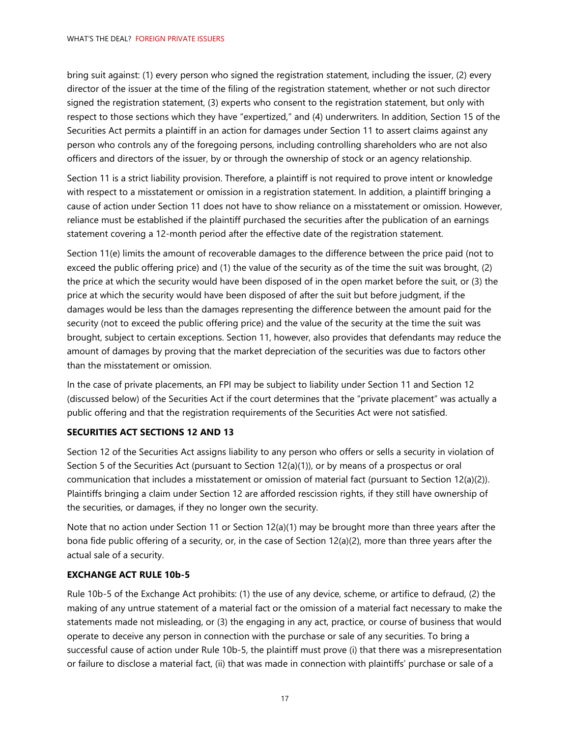bring suit against: (1) every person who signed the registration statement, including the issuer, (2) every director of the issuer at the time of the filing of the registration statement, whether or not such director signed the registration statement, (3) experts who consent to the registration statement, but only with respect to those sections which they have "expertized," and (4) underwriters. In addition, Section 15 of the Securities Act permits a plaintiff in an action for damages under Section 11 to assert claims against any person who controls any of the foregoing persons, including controlling shareholders who are not also officers and directors of the issuer, by or through the ownership of stock or an agency relationship.

Section 11 is a strict liability provision. Therefore, a plaintiff is not required to prove intent or knowledge with respect to a misstatement or omission in a registration statement. In addition, a plaintiff bringing a cause of action under Section 11 does not have to show reliance on a misstatement or omission. However, reliance must be established if the plaintiff purchased the securities after the publication of an earnings statement covering a 12-month period after the effective date of the registration statement.

Section 11(e) limits the amount of recoverable damages to the difference between the price paid (not to exceed the public offering price) and (1) the value of the security as of the time the suit was brought, (2) the price at which the security would have been disposed of in the open market before the suit, or (3) the price at which the security would have been disposed of after the suit but before judgment, if the damages would be less than the damages representing the difference between the amount paid for the security (not to exceed the public offering price) and the value of the security at the time the suit was brought, subject to certain exceptions. Section 11, however, also provides that defendants may reduce the amount of damages by proving that the market depreciation of the securities was due to factors other than the misstatement or omission.

In the case of private placements, an FPI may be subject to liability under Section 11 and Section 12 (discussed below) of the Securities Act if the court determines that the "private placement" was actually a public offering and that the registration requirements of the Securities Act were not satisfied.

### **SECURITIES ACT SECTIONS 12 AND 13**

Section 12 of the Securities Act assigns liability to any person who offers or sells a security in violation of Section 5 of the Securities Act (pursuant to Section 12(a)(1)), or by means of a prospectus or oral communication that includes a misstatement or omission of material fact (pursuant to Section 12(a)(2)). Plaintiffs bringing a claim under Section 12 are afforded rescission rights, if they still have ownership of the securities, or damages, if they no longer own the security.

Note that no action under Section 11 or Section 12(a)(1) may be brought more than three years after the bona fide public offering of a security, or, in the case of Section 12(a)(2), more than three years after the actual sale of a security.

### **EXCHANGE ACT RULE 10b-5**

Rule 10b-5 of the Exchange Act prohibits: (1) the use of any device, scheme, or artifice to defraud, (2) the making of any untrue statement of a material fact or the omission of a material fact necessary to make the statements made not misleading, or (3) the engaging in any act, practice, or course of business that would operate to deceive any person in connection with the purchase or sale of any securities. To bring a successful cause of action under Rule 10b-5, the plaintiff must prove (i) that there was a misrepresentation or failure to disclose a material fact, (ii) that was made in connection with plaintiffs' purchase or sale of a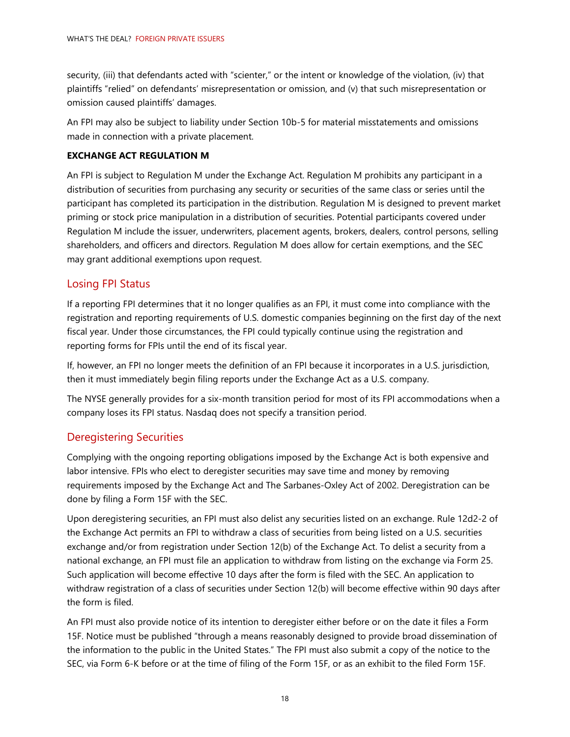security, (iii) that defendants acted with "scienter," or the intent or knowledge of the violation, (iv) that plaintiffs "relied" on defendants' misrepresentation or omission, and (v) that such misrepresentation or omission caused plaintiffs' damages.

An FPI may also be subject to liability under Section 10b-5 for material misstatements and omissions made in connection with a private placement.

## **EXCHANGE ACT REGULATION M**

An FPI is subject to Regulation M under the Exchange Act. Regulation M prohibits any participant in a distribution of securities from purchasing any security or securities of the same class or series until the participant has completed its participation in the distribution. Regulation M is designed to prevent market priming or stock price manipulation in a distribution of securities. Potential participants covered under Regulation M include the issuer, underwriters, placement agents, brokers, dealers, control persons, selling shareholders, and officers and directors. Regulation M does allow for certain exemptions, and the SEC may grant additional exemptions upon request.

## Losing FPI Status

If a reporting FPI determines that it no longer qualifies as an FPI, it must come into compliance with the registration and reporting requirements of U.S. domestic companies beginning on the first day of the next fiscal year. Under those circumstances, the FPI could typically continue using the registration and reporting forms for FPIs until the end of its fiscal year.

If, however, an FPI no longer meets the definition of an FPI because it incorporates in a U.S. jurisdiction, then it must immediately begin filing reports under the Exchange Act as a U.S. company.

The NYSE generally provides for a six-month transition period for most of its FPI accommodations when a company loses its FPI status. Nasdaq does not specify a transition period.

## Deregistering Securities

Complying with the ongoing reporting obligations imposed by the Exchange Act is both expensive and labor intensive. FPIs who elect to deregister securities may save time and money by removing requirements imposed by the Exchange Act and The Sarbanes-Oxley Act of 2002. Deregistration can be done by filing a Form 15F with the SEC.

Upon deregistering securities, an FPI must also delist any securities listed on an exchange. Rule 12d2-2 of the Exchange Act permits an FPI to withdraw a class of securities from being listed on a U.S. securities exchange and/or from registration under Section 12(b) of the Exchange Act. To delist a security from a national exchange, an FPI must file an application to withdraw from listing on the exchange via Form 25. Such application will become effective 10 days after the form is filed with the SEC. An application to withdraw registration of a class of securities under Section 12(b) will become effective within 90 days after the form is filed.

An FPI must also provide notice of its intention to deregister either before or on the date it files a Form 15F. Notice must be published "through a means reasonably designed to provide broad dissemination of the information to the public in the United States." The FPI must also submit a copy of the notice to the SEC, via Form 6-K before or at the time of filing of the Form 15F, or as an exhibit to the filed Form 15F.